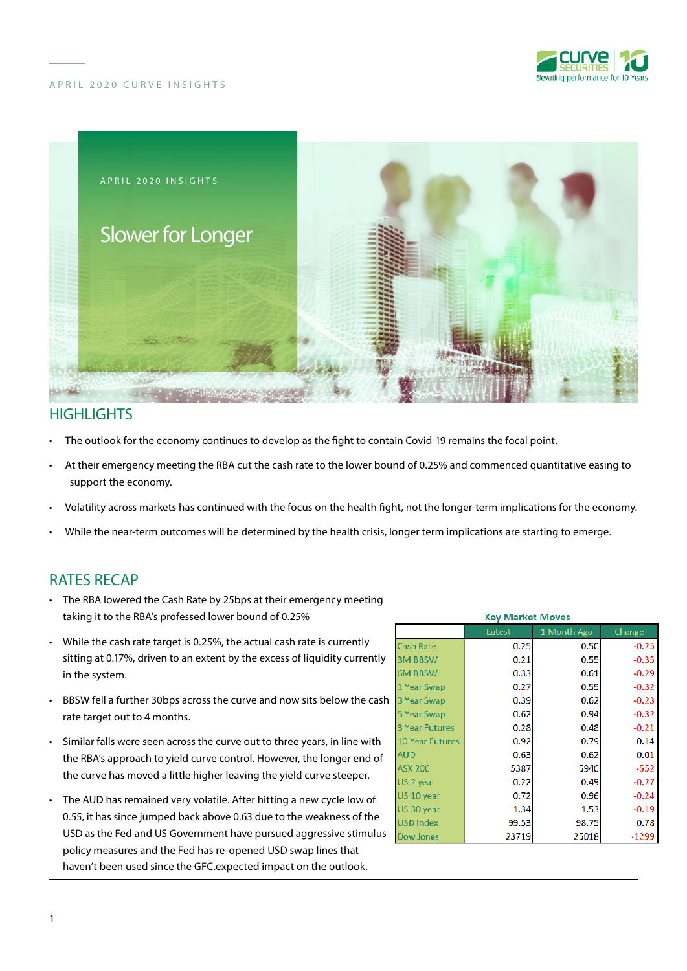



### **HIGHLIGHTS**

- The outlook for the economy continues to develop as the fight to contain Covid-19 remains the focal point.
- At their emergency meeting the RBA cut the cash rate to the lower bound of 0.25% and commenced quantitative easing to support the economy.
- Volatility across markets has continued with the focus on the health fight, not the longer-term implications for the economy.
- While the near-term outcomes will be determined by the health crisis, longer term implications are starting to emerge.

#### RATES RECAP

- The RBA lowered the Cash Rate by 25bps at their emergency meeting taking it to the RBA's professed lower bound of 0.25%
- While the cash rate target is 0.25%, the actual cash rate is currently sitting at 0.17%, driven to an extent by the excess of liquidity currently in the system.
- BBSW fell a further 30bps across the curve and now sits below the cash rate target out to 4 months.
- Similar falls were seen across the curve out to three years, in line with the RBA's approach to yield curve control. However, the longer end of the curve has moved a little higher leaving the yield curve steeper.
- The AUD has remained very volatile. After hitting a new cycle low of 0.55, it has since jumped back above 0.63 due to the weakness of the USD as the Fed and US Government have pursued aggressive stimulus policy measures and the Fed has re-opened USD swap lines that haven't been used since the GFC.expected impact on the outlook.

|   | <b>Key Market Moves</b> |        |             |         |  |  |  |  |  |  |  |
|---|-------------------------|--------|-------------|---------|--|--|--|--|--|--|--|
|   |                         | Latest | 1 Month Ago | Change  |  |  |  |  |  |  |  |
|   | Cash Rate               | 0.25   | 0.50        | $-0.25$ |  |  |  |  |  |  |  |
|   | <b>3M BBSW</b>          | 0.21   | 0.55        | $-0.35$ |  |  |  |  |  |  |  |
|   | <b>6M BBSW</b>          | 0.33   | 0.61        | $-0.29$ |  |  |  |  |  |  |  |
|   | 1 Year Swap             | 0.27   | 0.59        | $-0.32$ |  |  |  |  |  |  |  |
| h | 3 Year Swap             | 0.39   | 0.62        | $-0.23$ |  |  |  |  |  |  |  |
|   | 5 Year Swap             | 0.62   | 0.94        | $-0.32$ |  |  |  |  |  |  |  |
|   | <b>3 Year Futures</b>   | 0.28   | 0.48        | $-0.21$ |  |  |  |  |  |  |  |
|   | <b>10 Year Futures</b>  | 0.92   | 0.79        | 0.14    |  |  |  |  |  |  |  |
|   | <b>AUD</b>              | 0.63   | 0.62        | 0.01    |  |  |  |  |  |  |  |
|   | <b>ASX 200</b>          | 5387   | 5940        | $-552$  |  |  |  |  |  |  |  |
|   | US 2 year               | 0.22   | 0.49        | $-0.27$ |  |  |  |  |  |  |  |
|   | US 10 year              | 0.72   | 0.96        | $-0.24$ |  |  |  |  |  |  |  |
|   | US 30 year              | 1.34   | 1.53        | $-0.19$ |  |  |  |  |  |  |  |
|   | <b>USD Index</b>        | 99.53  | 98.75       | 0.78    |  |  |  |  |  |  |  |
|   | Dow Jones               | 23719  | 25018       | -1299   |  |  |  |  |  |  |  |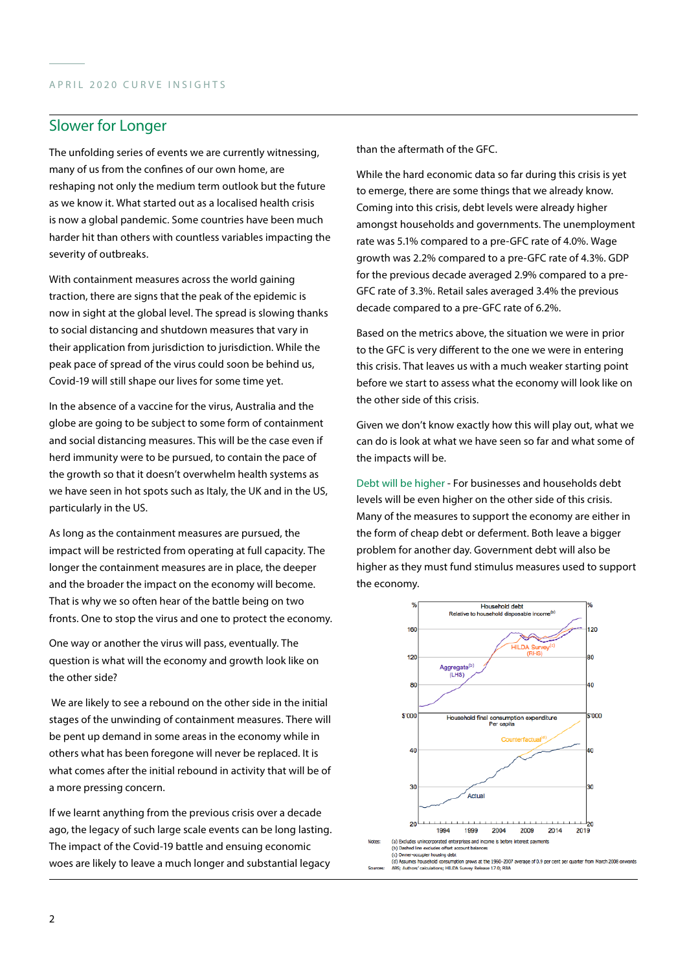# Slower for Longer

The unfolding series of events we are currently witnessing, many of us from the confines of our own home, are reshaping not only the medium term outlook but the future as we know it. What started out as a localised health crisis is now a global pandemic. Some countries have been much harder hit than others with countless variables impacting the severity of outbreaks.

With containment measures across the world gaining traction, there are signs that the peak of the epidemic is now in sight at the global level. The spread is slowing thanks to social distancing and shutdown measures that vary in their application from jurisdiction to jurisdiction. While the peak pace of spread of the virus could soon be behind us, Covid-19 will still shape our lives for some time yet.

In the absence of a vaccine for the virus, Australia and the globe are going to be subject to some form of containment and social distancing measures. This will be the case even if herd immunity were to be pursued, to contain the pace of the growth so that it doesn't overwhelm health systems as we have seen in hot spots such as Italy, the UK and in the US, particularly in the US.

As long as the containment measures are pursued, the impact will be restricted from operating at full capacity. The longer the containment measures are in place, the deeper and the broader the impact on the economy will become. That is why we so often hear of the battle being on two fronts. One to stop the virus and one to protect the economy.

One way or another the virus will pass, eventually. The question is what will the economy and growth look like on the other side?

 We are likely to see a rebound on the other side in the initial stages of the unwinding of containment measures. There will be pent up demand in some areas in the economy while in others what has been foregone will never be replaced. It is what comes after the initial rebound in activity that will be of a more pressing concern.

If we learnt anything from the previous crisis over a decade ago, the legacy of such large scale events can be long lasting. The impact of the Covid-19 battle and ensuing economic woes are likely to leave a much longer and substantial legacy

than the aftermath of the GFC.

While the hard economic data so far during this crisis is yet to emerge, there are some things that we already know. Coming into this crisis, debt levels were already higher amongst households and governments. The unemployment rate was 5.1% compared to a pre-GFC rate of 4.0%. Wage growth was 2.2% compared to a pre-GFC rate of 4.3%. GDP for the previous decade averaged 2.9% compared to a pre-GFC rate of 3.3%. Retail sales averaged 3.4% the previous decade compared to a pre-GFC rate of 6.2%.

Based on the metrics above, the situation we were in prior to the GFC is very different to the one we were in entering this crisis. That leaves us with a much weaker starting point before we start to assess what the economy will look like on the other side of this crisis.

Given we don't know exactly how this will play out, what we can do is look at what we have seen so far and what some of the impacts will be.

Debt will be higher - For businesses and households debt levels will be even higher on the other side of this crisis. Many of the measures to support the economy are either in the form of cheap debt or deferment. Both leave a bigger problem for another day. Government debt will also be higher as they must fund stimulus measures used to support the economy.

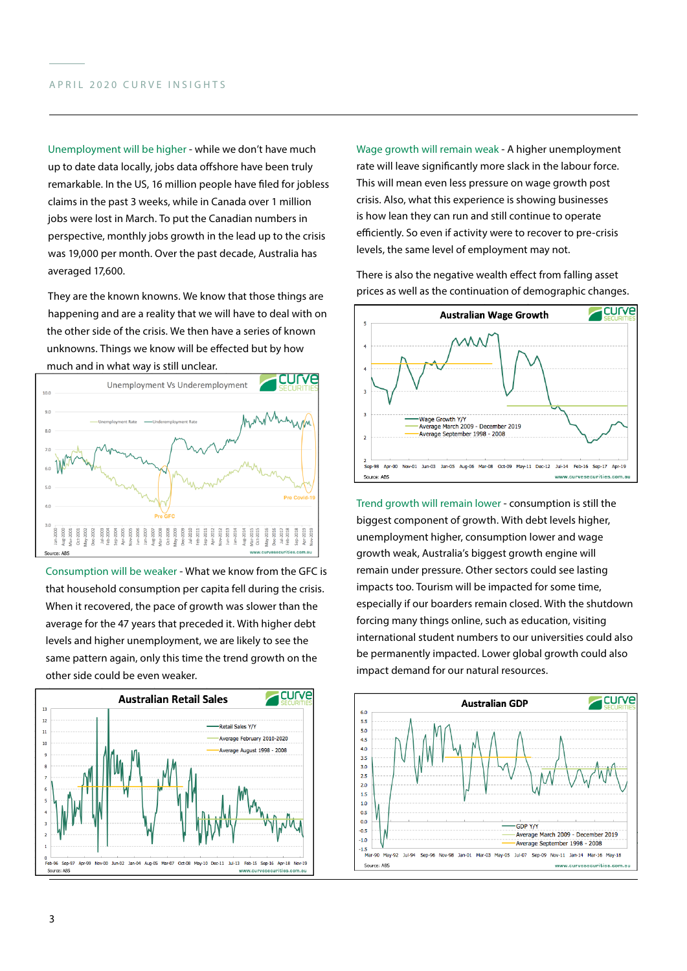Unemployment will be higher - while we don't have much up to date data locally, jobs data offshore have been truly remarkable. In the US, 16 million people have filed for jobless claims in the past 3 weeks, while in Canada over 1 million jobs were lost in March. To put the Canadian numbers in perspective, monthly jobs growth in the lead up to the crisis was 19,000 per month. Over the past decade, Australia has averaged 17,600.

They are the known knowns. We know that those things are happening and are a reality that we will have to deal with on the other side of the crisis. We then have a series of known unknowns. Things we know will be effected but by how much and in what way is still unclear.



Consumption will be weaker - What we know from the GFC is that household consumption per capita fell during the crisis. When it recovered, the pace of growth was slower than the average for the 47 years that preceded it. With higher debt levels and higher unemployment, we are likely to see the same pattern again, only this time the trend growth on the other side could be even weaker.



Wage growth will remain weak - A higher unemployment rate will leave significantly more slack in the labour force. This will mean even less pressure on wage growth post crisis. Also, what this experience is showing businesses is how lean they can run and still continue to operate efficiently. So even if activity were to recover to pre-crisis levels, the same level of employment may not.

There is also the negative wealth effect from falling asset prices as well as the continuation of demographic changes.



Trend growth will remain lower - consumption is still the biggest component of growth. With debt levels higher, unemployment higher, consumption lower and wage growth weak, Australia's biggest growth engine will remain under pressure. Other sectors could see lasting impacts too. Tourism will be impacted for some time, especially if our boarders remain closed. With the shutdown forcing many things online, such as education, visiting international student numbers to our universities could also be permanently impacted. Lower global growth could also impact demand for our natural resources.

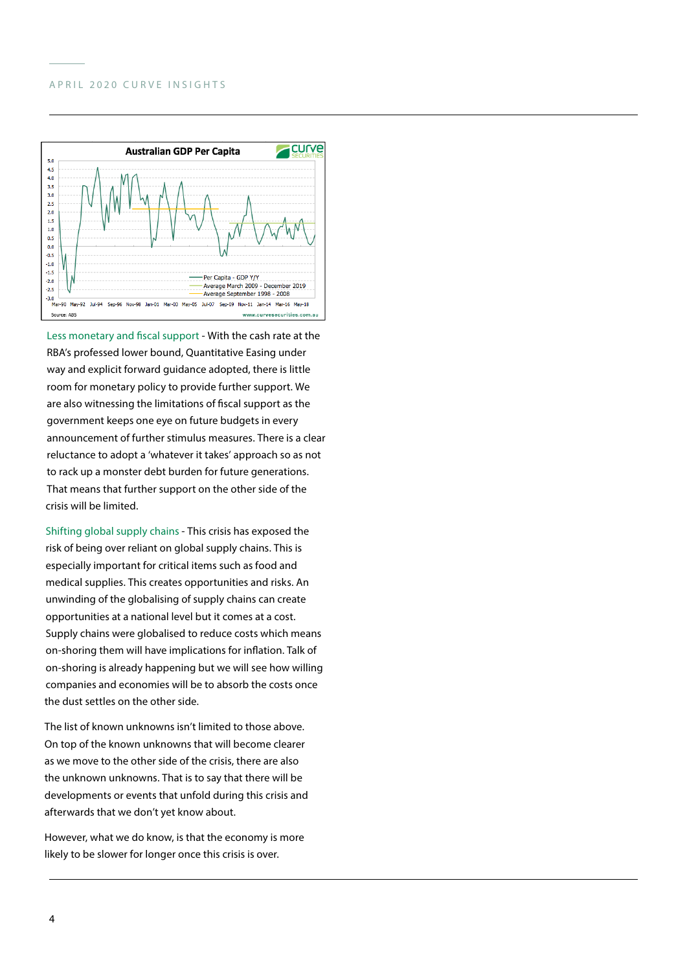

Less monetary and fiscal support - With the cash rate at the RBA's professed lower bound, Quantitative Easing under way and explicit forward guidance adopted, there is little room for monetary policy to provide further support. We are also witnessing the limitations of fiscal support as the government keeps one eye on future budgets in every announcement of further stimulus measures. There is a clear reluctance to adopt a 'whatever it takes' approach so as not to rack up a monster debt burden for future generations. That means that further support on the other side of the crisis will be limited.

Shifting global supply chains - This crisis has exposed the risk of being over reliant on global supply chains. This is especially important for critical items such as food and medical supplies. This creates opportunities and risks. An unwinding of the globalising of supply chains can create opportunities at a national level but it comes at a cost. Supply chains were globalised to reduce costs which means on-shoring them will have implications for inflation. Talk of on-shoring is already happening but we will see how willing companies and economies will be to absorb the costs once the dust settles on the other side.

The list of known unknowns isn't limited to those above. On top of the known unknowns that will become clearer as we move to the other side of the crisis, there are also the unknown unknowns. That is to say that there will be developments or events that unfold during this crisis and afterwards that we don't yet know about.

However, what we do know, is that the economy is more likely to be slower for longer once this crisis is over.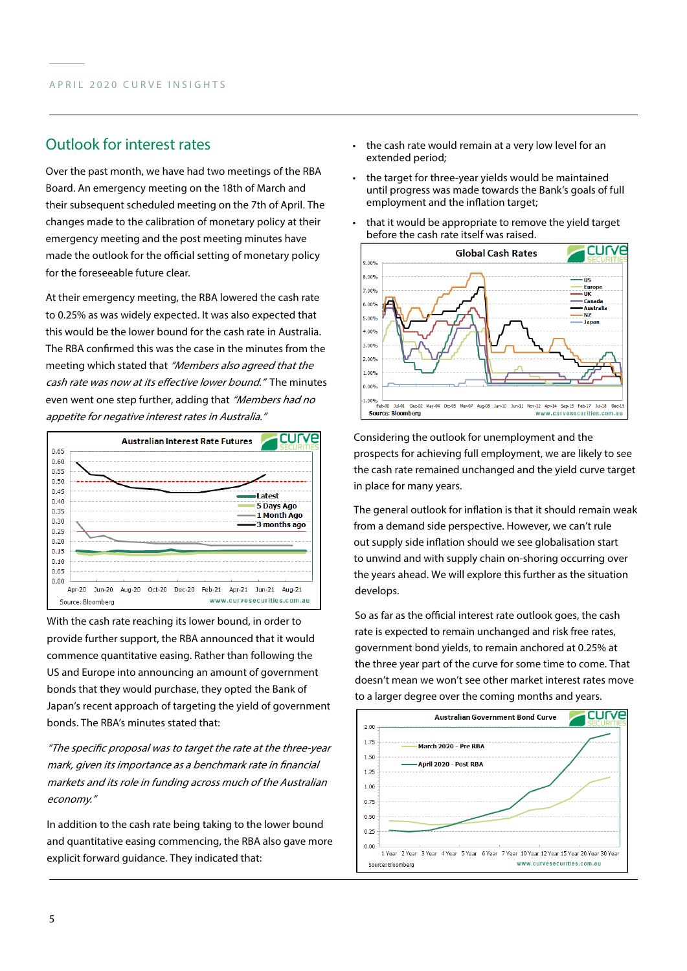### Outlook for interest rates

Over the past month, we have had two meetings of the RBA Board. An emergency meeting on the 18th of March and their subsequent scheduled meeting on the 7th of April. The changes made to the calibration of monetary policy at their emergency meeting and the post meeting minutes have made the outlook for the official setting of monetary policy for the foreseeable future clear.

At their emergency meeting, the RBA lowered the cash rate to 0.25% as was widely expected. It was also expected that this would be the lower bound for the cash rate in Australia. The RBA confirmed this was the case in the minutes from the meeting which stated that "Members also agreed that the cash rate was now at its effective lower bound." The minutes even went one step further, adding that *"Members had no* appetite for negative interest rates in Australia."

|                                                 |               |        |               |        | <b>Australian Interest Rate Futures</b> |  |               |                | ▭             |
|-------------------------------------------------|---------------|--------|---------------|--------|-----------------------------------------|--|---------------|----------------|---------------|
| 0.65                                            |               |        |               |        |                                         |  |               |                |               |
| 0.60                                            |               |        |               |        |                                         |  |               |                |               |
| 0.55                                            |               |        |               |        |                                         |  |               |                |               |
| 0.50                                            |               |        |               |        |                                         |  |               |                |               |
| 0.45                                            |               |        |               |        |                                         |  |               | •Latest        |               |
| 0.40                                            |               |        |               |        |                                         |  |               | 5 Days Ago     |               |
| 0.35                                            |               |        |               |        |                                         |  |               | $-1$ Month Ago |               |
| 0.30                                            |               |        |               |        |                                         |  |               |                | -3 months ago |
| 0.25                                            |               |        |               |        |                                         |  |               |                |               |
| 0.20                                            |               |        |               |        |                                         |  |               |                |               |
| 0.15                                            |               |        |               |        |                                         |  |               |                |               |
| 0.10                                            |               |        |               |        |                                         |  |               |                |               |
| 0.05                                            |               |        |               |        |                                         |  |               |                |               |
| 0.00                                            |               |        |               |        |                                         |  |               |                |               |
|                                                 | <b>Apr-20</b> | Jun-20 | <b>Aug-20</b> | Oct-20 | Dec-20 Feb-21                           |  | <b>Apr-21</b> | Jun-21         | Aug-21        |
| www.curvesecurities.com.au<br>Source: Bloomberg |               |        |               |        |                                         |  |               |                |               |

With the cash rate reaching its lower bound, in order to provide further support, the RBA announced that it would commence quantitative easing. Rather than following the US and Europe into announcing an amount of government bonds that they would purchase, they opted the Bank of Japan's recent approach of targeting the yield of government bonds. The RBA's minutes stated that:

"The specific proposal was to target the rate at the three-year mark, given its importance as a benchmark rate in financial markets and its role in funding across much of the Australian economy."

In addition to the cash rate being taking to the lower bound and quantitative easing commencing, the RBA also gave more explicit forward guidance. They indicated that:

- the cash rate would remain at a very low level for an extended period;
- the target for three-year yields would be maintained until progress was made towards the Bank's goals of full employment and the inflation target;
- that it would be appropriate to remove the yield target before the cash rate itself was raised.



Considering the outlook for unemployment and the prospects for achieving full employment, we are likely to see the cash rate remained unchanged and the yield curve target in place for many years.

The general outlook for inflation is that it should remain weak from a demand side perspective. However, we can't rule out supply side inflation should we see globalisation start to unwind and with supply chain on-shoring occurring over the years ahead. We will explore this further as the situation develops.

So as far as the official interest rate outlook goes, the cash rate is expected to remain unchanged and risk free rates, government bond yields, to remain anchored at 0.25% at the three year part of the curve for some time to come. That doesn't mean we won't see other market interest rates move to a larger degree over the coming months and years.